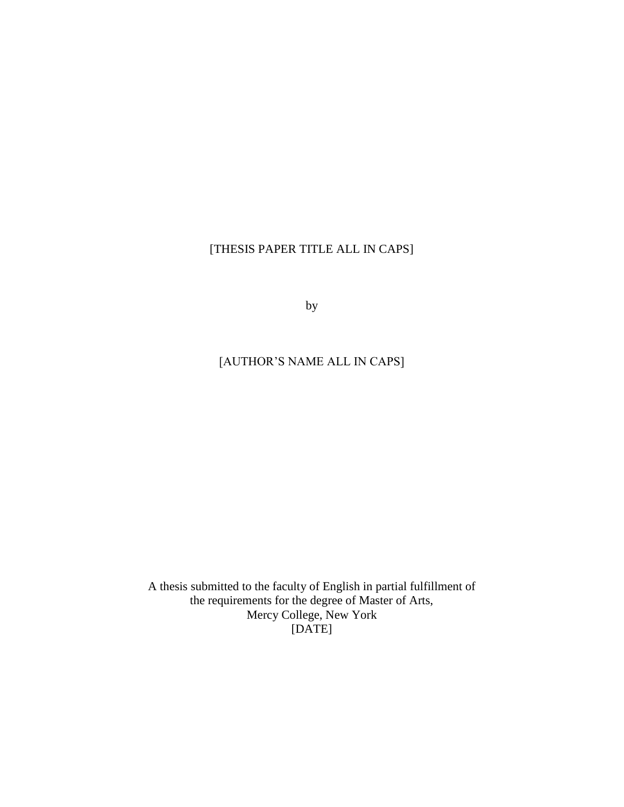## [THESIS PAPER TITLE ALL IN CAPS]

by

## [AUTHOR'S NAME ALL IN CAPS]

A thesis submitted to the faculty of English in partial fulfillment of the requirements for the degree of Master of Arts, Mercy College, New York [DATE]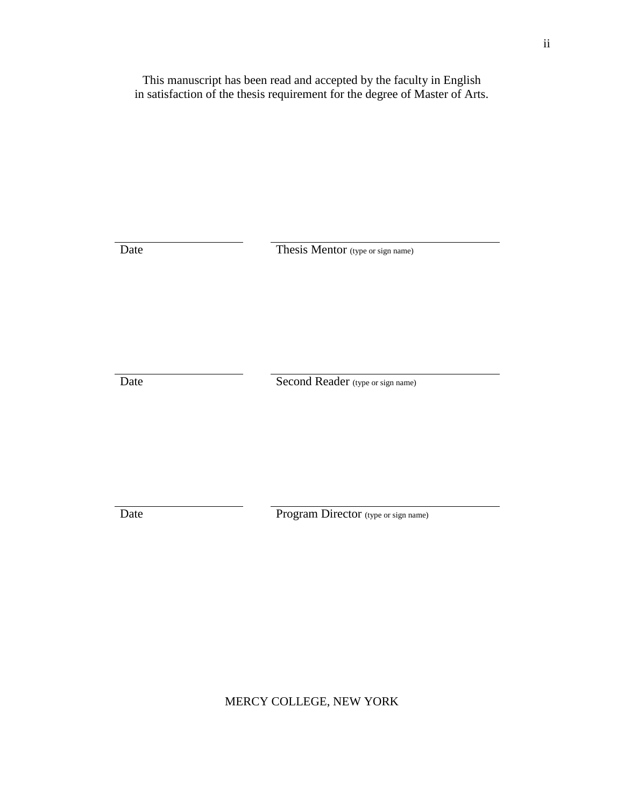This manuscript has been read and accepted by the faculty in English in satisfaction of the thesis requirement for the degree of Master of Arts.

Date Thesis Mentor (type or sign name)

Date Second Reader (type or sign name)

Date Program Director (type or sign name)

MERCY COLLEGE, NEW YORK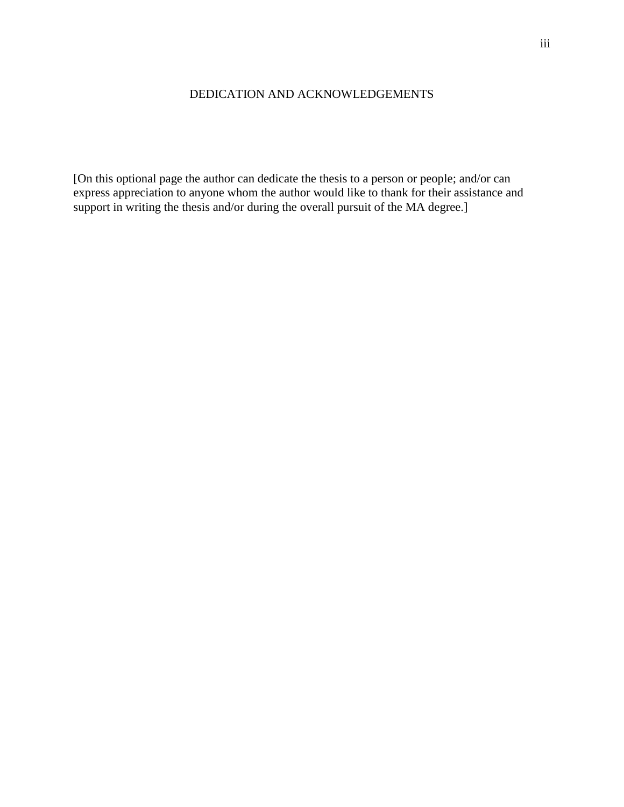## DEDICATION AND ACKNOWLEDGEMENTS

[On this optional page the author can dedicate the thesis to a person or people; and/or can express appreciation to anyone whom the author would like to thank for their assistance and support in writing the thesis and/or during the overall pursuit of the MA degree.]